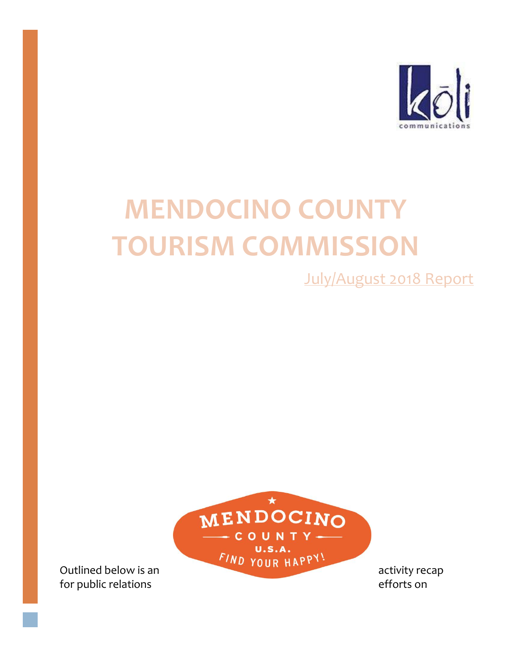

# **MENDOCINO COUNTY TOURISM COMMISSION**

July/August 2018 Report



for public relations efforts on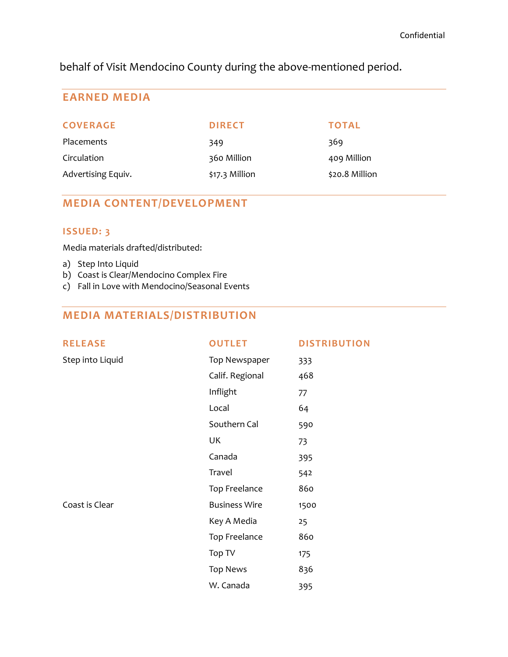behalf of Visit Mendocino County during the above-mentioned period.

# **EARNED MEDIA**

| <b>COVERAGE</b>    | <b>DIRECT</b>  | <b>TOTAL</b>   |
|--------------------|----------------|----------------|
| <b>Placements</b>  | 349            | 369            |
| Circulation        | 360 Million    | 409 Million    |
| Advertising Equiv. | \$17.3 Million | \$20.8 Million |

# **MEDIA CONTENT/DEVELOPMENT**

# **ISSUED: 3**

Media materials drafted/distributed:

- a) Step Into Liquid
- b) Coast is Clear/Mendocino Complex Fire
- c) Fall in Love with Mendocino/Seasonal Events

# **MEDIA MATERIALS/DISTRIBUTION**

| <b>RELEASE</b>   | <b>OUTLET</b>        | <b>DISTRIBUTION</b> |
|------------------|----------------------|---------------------|
| Step into Liquid | Top Newspaper        | 333                 |
|                  | Calif. Regional      | 468                 |
|                  | Inflight             | 77                  |
|                  | Local                | 64                  |
|                  | Southern Cal         | 590                 |
|                  | UK                   | 73                  |
|                  | Canada               | 395                 |
|                  | Travel               | 542                 |
|                  | Top Freelance        | 860                 |
| Coast is Clear   | <b>Business Wire</b> | 1500                |
|                  | Key A Media          | 25                  |
|                  | Top Freelance        | 860                 |
|                  | Top TV               | 175                 |
|                  | <b>Top News</b>      | 836                 |
|                  | W. Canada            | 395                 |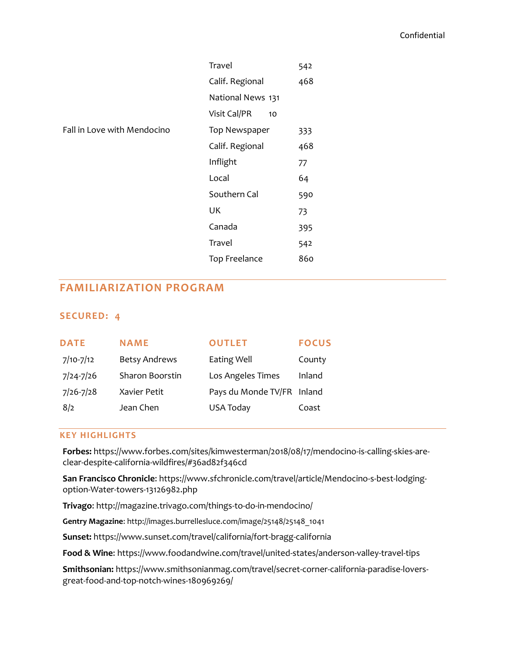|                             | Travel             | 542 |
|-----------------------------|--------------------|-----|
|                             | Calif. Regional    | 468 |
|                             | National News 131  |     |
|                             | Visit Cal/PR<br>10 |     |
| Fall in Love with Mendocino | Top Newspaper      | 333 |
|                             | Calif. Regional    | 468 |
|                             | Inflight           | 77  |
|                             | Local              | 64  |
|                             | Southern Cal       | 590 |
|                             | UK                 | 73  |
|                             | Canada             | 395 |
|                             | Travel             | 542 |
|                             | Top Freelance      | 860 |
|                             |                    |     |

# **FAMILIARIZATION PROGRAM**

## **SECURED: 4**

| <b>DATE</b>   | <b>NAME</b>          | <b>OUTLET</b>              | <b>FOCUS</b> |
|---------------|----------------------|----------------------------|--------------|
| $7/10-7/12$   | <b>Betsy Andrews</b> | <b>Eating Well</b>         | County       |
| $7/24 - 7/26$ | Sharon Boorstin      | Los Angeles Times          | Inland       |
| $7/26 - 7/28$ | Xavier Petit         | Pays du Monde TV/FR Inland |              |
| 8/2           | Jean Chen            | <b>USA Today</b>           | Coast        |

## **KEY HIGHLIGHTS**

**Forbes:** [https://www.forbes.com/sites/kimwesterman/2018/08/17/mendocino-is-calling-skies-are](https://www.forbes.com/sites/kimwesterman/2018/08/17/mendocino-is-calling-skies-are-clear-despite-california-wildfires/#36ad82f346cd)[clear-despite-california-wildfires/#36ad82f346cd](https://www.forbes.com/sites/kimwesterman/2018/08/17/mendocino-is-calling-skies-are-clear-despite-california-wildfires/#36ad82f346cd)

**San Francisco Chronicle**: [https://www.sfchronicle.com/travel/article/Mendocino-s-best-lodging](https://www.sfchronicle.com/travel/article/Mendocino-s-best-lodging-option-Water-towers-13126982.php)[option-Water-towers-13126982.php](https://www.sfchronicle.com/travel/article/Mendocino-s-best-lodging-option-Water-towers-13126982.php)

**Trivago**:<http://magazine.trivago.com/things-to-do-in-mendocino/>

**Gentry Magazine**[: http://images.burrellesluce.com/image/25148/25148\\_1041](http://images.burrellesluce.com/image/25148/25148_1041)

**Sunset:** <https://www.sunset.com/travel/california/fort-bragg-california>

**Food & Wine**[: https://www.foodandwine.com/travel/united-states/anderson-valley-travel-tips](https://www.foodandwine.com/travel/united-states/anderson-valley-travel-tips)

**Smithsonian:** [https://www.smithsonianmag.com/travel/secret-corner-california-paradise-lovers](https://www.smithsonianmag.com/travel/secret-corner-california-paradise-lovers-great-food-and-top-notch-wines-180969269/)[great-food-and-top-notch-wines-180969269/](https://www.smithsonianmag.com/travel/secret-corner-california-paradise-lovers-great-food-and-top-notch-wines-180969269/)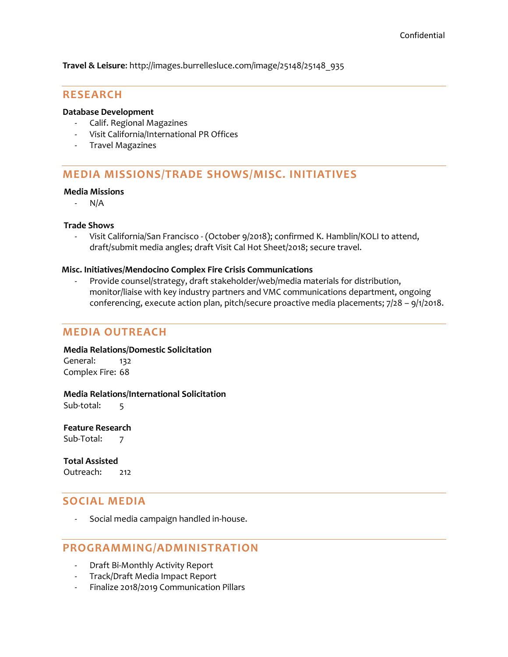**Travel & Leisure**: [http://images.burrellesluce.com/image/25148/25148\\_935](http://images.burrellesluce.com/image/25148/25148_935)

## **RESEARCH**

### **Database Development**

- Calif. Regional Magazines
- Visit California/International PR Offices
- Travel Magazines

# **MEDIA MISSIONS/TRADE SHOWS/MISC. INITIATIVES**

#### **Media Missions**

- N/A

## **Trade Shows**

- Visit California/San Francisco - (October 9/2018); confirmed K. Hamblin/KOLI to attend, draft/submit media angles; draft Visit Cal Hot Sheet/2018; secure travel.

## **Misc. Initiatives/Mendocino Complex Fire Crisis Communications**

Provide counsel/strategy, draft stakeholder/web/media materials for distribution, monitor/liaise with key industry partners and VMC communications department, ongoing conferencing, execute action plan, pitch/secure proactive media placements; 7/28 – 9/1/2018.

# **MEDIA OUTREACH**

## **Media Relations/Domestic Solicitation**

General: 132 Complex Fire: 68

## **Media Relations/International Solicitation**

Sub-total: 5

**Feature Research** Sub-Total: 7

**Total Assisted** Outreach: 212

## **SOCIAL MEDIA**

- Social media campaign handled in-house.

# **PROGRAMMING/ADMINISTRATION**

- Draft Bi-Monthly Activity Report
- Track/Draft Media Impact Report
- Finalize 2018/2019 Communication Pillars